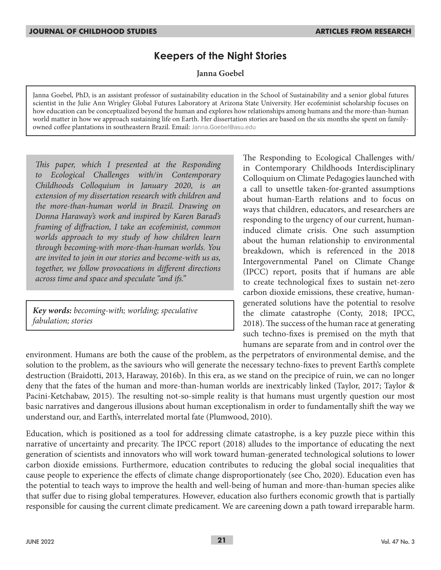# **Keepers of the Night Stories**

**Janna Goebel**

Janna Goebel, PhD, is an assistant professor of sustainability education in the School of Sustainability and a senior global futures scientist in the Julie Ann Wrigley Global Futures Laboratory at Arizona State University. Her ecofeminist scholarship focuses on how education can be conceptualized beyond the human and explores how relationships among humans and the more-than-human world matter in how we approach sustaining life on Earth. Her dissertation stories are based on the six months she spent on familyowned coffee plantations in southeastern Brazil. Email: Janna.Goebel@asu.edu

*This paper, which I presented at the Responding to Ecological Challenges with/in Contemporary Childhoods Colloquium in January 2020, is an extension of my dissertation research with children and the more-than-human world in Brazil. Drawing on Donna Haraway's work and inspired by Karen Barad's framing of diffraction, I take an ecofeminist, common worlds approach to my study of how children learn through becoming-with more-than-human worlds. You are invited to join in our stories and become-with us as, together, we follow provocations in different directions across time and space and speculate "and ifs."* 

*Key words: becoming-with; worlding; speculative fabulation; stories*

The Responding to Ecological Challenges with/ in Contemporary Childhoods Interdisciplinary Colloquium on Climate Pedagogies launched with a call to unsettle taken-for-granted assumptions about human-Earth relations and to focus on ways that children, educators, and researchers are responding to the urgency of our current, humaninduced climate crisis. One such assumption about the human relationship to environmental breakdown, which is referenced in the 2018 Intergovernmental Panel on Climate Change (IPCC) report, posits that if humans are able to create technological fixes to sustain net-zero carbon dioxide emissions, these creative, humangenerated solutions have the potential to resolve the climate catastrophe (Conty, 2018; IPCC, 2018). The success of the human race at generating such techno-fixes is premised on the myth that humans are separate from and in control over the

environment. Humans are both the cause of the problem, as the perpetrators of environmental demise, and the solution to the problem, as the saviours who will generate the necessary techno-fixes to prevent Earth's complete destruction (Braidotti, 2013, Haraway, 2016b). In this era, as we stand on the precipice of ruin, we can no longer deny that the fates of the human and more-than-human worlds are inextricably linked (Taylor, 2017; Taylor & Pacini-Ketchabaw, 2015). The resulting not-so-simple reality is that humans must urgently question our most basic narratives and dangerous illusions about human exceptionalism in order to fundamentally shift the way we understand our, and Earth's, interrelated mortal fate (Plumwood, 2010).

Education, which is positioned as a tool for addressing climate catastrophe, is a key puzzle piece within this narrative of uncertainty and precarity. The IPCC report (2018) alludes to the importance of educating the next generation of scientists and innovators who will work toward human-generated technological solutions to lower carbon dioxide emissions. Furthermore, education contributes to reducing the global social inequalities that cause people to experience the effects of climate change disproportionately (see Cho, 2020). Education even has the potential to teach ways to improve the health and well-being of human and more-than-human species alike that suffer due to rising global temperatures. However, education also furthers economic growth that is partially responsible for causing the current climate predicament. We are careening down a path toward irreparable harm.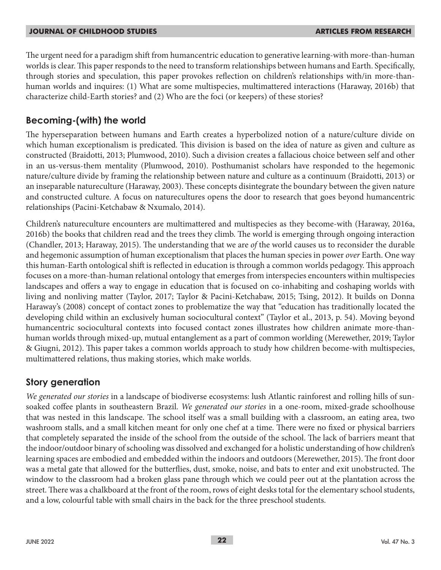The urgent need for a paradigm shift from humancentric education to generative learning-with more-than-human worlds is clear. This paper responds to the need to transform relationships between humans and Earth. Specifically, through stories and speculation, this paper provokes reflection on children's relationships with/in more-thanhuman worlds and inquires: (1) What are some multispecies, multimattered interactions (Haraway, 2016b) that characterize child-Earth stories? and (2) Who are the foci (or keepers) of these stories?

## **Becoming-(with) the world**

The hyperseparation between humans and Earth creates a hyperbolized notion of a nature/culture divide on which human exceptionalism is predicated. This division is based on the idea of nature as given and culture as constructed (Braidotti, 2013; Plumwood, 2010). Such a division creates a fallacious choice between self and other in an us-versus-them mentality (Plumwood, 2010). Posthumanist scholars have responded to the hegemonic nature/culture divide by framing the relationship between nature and culture as a continuum (Braidotti, 2013) or an inseparable natureculture (Haraway, 2003). These concepts disintegrate the boundary between the given nature and constructed culture. A focus on naturecultures opens the door to research that goes beyond humancentric relationships (Pacini-Ketchabaw & Nxumalo, 2014).

Children's natureculture encounters are multimattered and multispecies as they become-with (Haraway, 2016a, 2016b) the books that children read and the trees they climb. The world is emerging through ongoing interaction (Chandler, 2013; Haraway, 2015). The understanding that we are *of* the world causes us to reconsider the durable and hegemonic assumption of human exceptionalism that places the human species in power *over* Earth. One way this human-Earth ontological shift is reflected in education is through a common worlds pedagogy. This approach focuses on a more-than-human relational ontology that emerges from interspecies encounters within multispecies landscapes and offers a way to engage in education that is focused on co-inhabiting and coshaping worlds with living and nonliving matter (Taylor, 2017; Taylor & Pacini-Ketchabaw, 2015; Tsing, 2012). It builds on Donna Haraway's (2008) concept of contact zones to problematize the way that "education has traditionally located the developing child within an exclusively human sociocultural context" (Taylor et al., 2013, p. 54). Moving beyond humancentric sociocultural contexts into focused contact zones illustrates how children animate more-thanhuman worlds through mixed-up, mutual entanglement as a part of common worlding (Merewether, 2019; Taylor & Giugni, 2012). This paper takes a common worlds approach to study how children become-with multispecies, multimattered relations, thus making stories, which make worlds.

## **Story generation**

*We generated our stories* in a landscape of biodiverse ecosystems: lush Atlantic rainforest and rolling hills of sunsoaked coffee plants in southeastern Brazil. *We generated our stories* in a one-room, mixed-grade schoolhouse that was nested in this landscape. The school itself was a small building with a classroom, an eating area, two washroom stalls, and a small kitchen meant for only one chef at a time. There were no fixed or physical barriers that completely separated the inside of the school from the outside of the school. The lack of barriers meant that the indoor/outdoor binary of schooling was dissolved and exchanged for a holistic understanding of how children's learning spaces are embodied and embedded within the indoors and outdoors (Merewether, 2015). The front door was a metal gate that allowed for the butterflies, dust, smoke, noise, and bats to enter and exit unobstructed. The window to the classroom had a broken glass pane through which we could peer out at the plantation across the street. There was a chalkboard at the front of the room, rows of eight desks total for the elementary school students, and a low, colourful table with small chairs in the back for the three preschool students.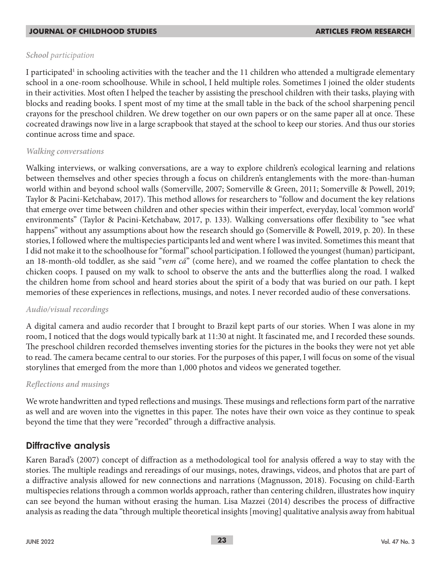### *School participation*

I participated<sup>1</sup> in schooling activities with the teacher and the 11 children who attended a multigrade elementary school in a one-room schoolhouse. While in school, I held multiple roles. Sometimes I joined the older students in their activities. Most often I helped the teacher by assisting the preschool children with their tasks, playing with blocks and reading books. I spent most of my time at the small table in the back of the school sharpening pencil crayons for the preschool children. We drew together on our own papers or on the same paper all at once. These cocreated drawings now live in a large scrapbook that stayed at the school to keep our stories. And thus our stories continue across time and space.

### *Walking conversations*

Walking interviews, or walking conversations, are a way to explore children's ecological learning and relations between themselves and other species through a focus on children's entanglements with the more-than-human world within and beyond school walls (Somerville, 2007; Somerville & Green, 2011; Somerville & Powell, 2019; Taylor & Pacini-Ketchabaw, 2017). This method allows for researchers to "follow and document the key relations that emerge over time between children and other species within their imperfect, everyday, local 'common world' environments" (Taylor & Pacini-Ketchabaw, 2017, p. 133). Walking conversations offer flexibility to "see what happens" without any assumptions about how the research should go (Somerville & Powell, 2019, p. 20). In these stories, I followed where the multispecies participants led and went where I was invited. Sometimes this meant that I did not make it to the schoolhouse for "formal" school participation. I followed the youngest (human) participant, an 18-month-old toddler, as she said "*vem cá*" (come here), and we roamed the coffee plantation to check the chicken coops. I paused on my walk to school to observe the ants and the butterflies along the road. I walked the children home from school and heard stories about the spirit of a body that was buried on our path. I kept memories of these experiences in reflections, musings, and notes. I never recorded audio of these conversations.

### *Audio/visual recordings*

A digital camera and audio recorder that I brought to Brazil kept parts of our stories. When I was alone in my room, I noticed that the dogs would typically bark at 11:30 at night. It fascinated me, and I recorded these sounds. The preschool children recorded themselves inventing stories for the pictures in the books they were not yet able to read. The camera became central to our stories. For the purposes of this paper, I will focus on some of the visual storylines that emerged from the more than 1,000 photos and videos we generated together.

### *Reflections and musings*

We wrote handwritten and typed reflections and musings. These musings and reflections form part of the narrative as well and are woven into the vignettes in this paper. The notes have their own voice as they continue to speak beyond the time that they were "recorded" through a diffractive analysis.

### **Diffractive analysis**

Karen Barad's (2007) concept of diffraction as a methodological tool for analysis offered a way to stay with the stories. The multiple readings and rereadings of our musings, notes, drawings, videos, and photos that are part of a diffractive analysis allowed for new connections and narrations (Magnusson, 2018). Focusing on child-Earth multispecies relations through a common worlds approach, rather than centering children, illustrates how inquiry can see beyond the human without erasing the human. Lisa Mazzei (2014) describes the process of diffractive analysis as reading the data "through multiple theoretical insights [moving] qualitative analysis away from habitual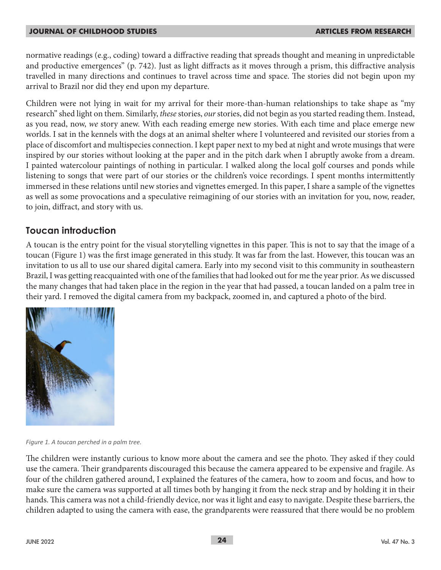normative readings (e.g., coding) toward a diffractive reading that spreads thought and meaning in unpredictable and productive emergences" (p. 742). Just as light diffracts as it moves through a prism, this diffractive analysis travelled in many directions and continues to travel across time and space. The stories did not begin upon my arrival to Brazil nor did they end upon my departure.

Children were not lying in wait for my arrival for their more-than-human relationships to take shape as "my research" shed light on them. Similarly, *these* stories, *our* stories, did not begin as you started reading them. Instead, as you read, now, *we* story anew. With each reading emerge new stories. With each time and place emerge new worlds. I sat in the kennels with the dogs at an animal shelter where I volunteered and revisited our stories from a place of discomfort and multispecies connection. I kept paper next to my bed at night and wrote musings that were inspired by our stories without looking at the paper and in the pitch dark when I abruptly awoke from a dream. I painted watercolour paintings of nothing in particular. I walked along the local golf courses and ponds while listening to songs that were part of our stories or the children's voice recordings. I spent months intermittently immersed in these relations until new stories and vignettes emerged. In this paper, I share a sample of the vignettes as well as some provocations and a speculative reimagining of our stories with an invitation for you, now, reader, to join, diffract, and story with us.

## **Toucan introduction**

A toucan is the entry point for the visual storytelling vignettes in this paper. This is not to say that the image of a toucan (Figure 1) was the first image generated in this study. It was far from the last. However, this toucan was an invitation to us all to use our shared digital camera. Early into my second visit to this community in southeastern Brazil, I was getting reacquainted with one of the families that had looked out for me the year prior. As we discussed the many changes that had taken place in the region in the year that had passed, a toucan landed on a palm tree in their yard. I removed the digital camera from my backpack, zoomed in, and captured a photo of the bird.



*Figure 1. A toucan perched in a palm tree.*

The children were instantly curious to know more about the camera and see the photo. They asked if they could use the camera. Their grandparents discouraged this because the camera appeared to be expensive and fragile. As four of the children gathered around, I explained the features of the camera, how to zoom and focus, and how to make sure the camera was supported at all times both by hanging it from the neck strap and by holding it in their hands. This camera was not a child-friendly device, nor was it light and easy to navigate. Despite these barriers, the children adapted to using the camera with ease, the grandparents were reassured that there would be no problem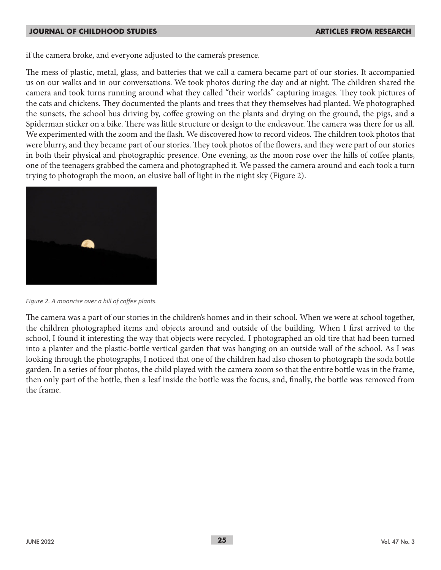if the camera broke, and everyone adjusted to the camera's presence.

The mess of plastic, metal, glass, and batteries that we call a camera became part of our stories. It accompanied us on our walks and in our conversations. We took photos during the day and at night. The children shared the camera and took turns running around what they called "their worlds" capturing images. They took pictures of the cats and chickens. They documented the plants and trees that they themselves had planted. We photographed the sunsets, the school bus driving by, coffee growing on the plants and drying on the ground, the pigs, and a Spiderman sticker on a bike. There was little structure or design to the endeavour. The camera was there for us all. We experimented with the zoom and the flash. We discovered how to record videos. The children took photos that were blurry, and they became part of our stories. They took photos of the flowers, and they were part of our stories in both their physical and photographic presence. One evening, as the moon rose over the hills of coffee plants, one of the teenagers grabbed the camera and photographed it. We passed the camera around and each took a turn trying to photograph the moon, an elusive ball of light in the night sky (Figure 2).



*Figure 2. A moonrise over a hill of coffee plants.*

The camera was a part of our stories in the children's homes and in their school. When we were at school together, the children photographed items and objects around and outside of the building. When I first arrived to the school, I found it interesting the way that objects were recycled. I photographed an old tire that had been turned into a planter and the plastic-bottle vertical garden that was hanging on an outside wall of the school. As I was looking through the photographs, I noticed that one of the children had also chosen to photograph the soda bottle garden. In a series of four photos, the child played with the camera zoom so that the entire bottle was in the frame, then only part of the bottle, then a leaf inside the bottle was the focus, and, finally, the bottle was removed from the frame.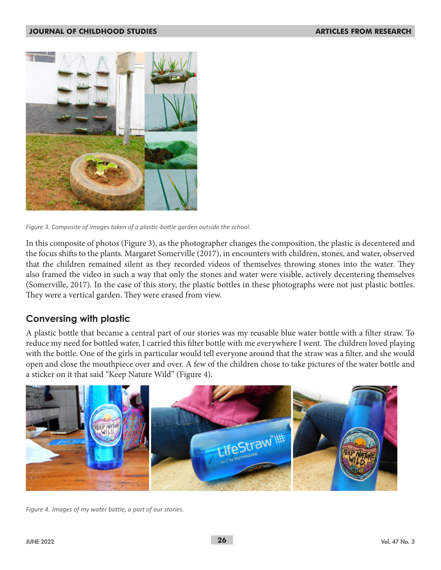

*Figure 3. Composite of images taken of a plastic-bottle garden outside the school.*

In this composite of photos (Figure 3), as the photographer changes the composition, the plastic is decentered and the focus shifts to the plants. Margaret Somerville (2017), in encounters with children, stones, and water, observed that the children remained silent as they recorded videos of themselves throwing stones into the water. They also framed the video in such a way that only the stones and water were visible, actively decentering themselves (Somerville, 2017). In the case of this story, the plastic bottles in these photographs were not just plastic bottles. They were a vertical garden. They were erased from view.

## **Conversing with plastic**

A plastic bottle that became a central part of our stories was my reusable blue water bottle with a filter straw. To reduce my need for bottled water, I carried this filter bottle with me everywhere I went. The children loved playing with the bottle. One of the girls in particular would tell everyone around that the straw was a filter, and she would open and close the mouthpiece over and over. A few of the children chose to take pictures of the water bottle and a sticker on it that said "Keep Nature Wild" (Figure 4).



*Figure 4. Images of my water bottle, a part of our stories.*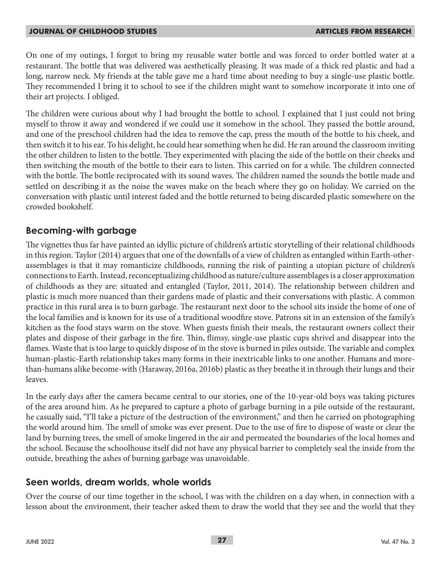On one of my outings, I forgot to bring my reusable water bottle and was forced to order bottled water at a restaurant. The bottle that was delivered was aesthetically pleasing. It was made of a thick red plastic and had a long, narrow neck. My friends at the table gave me a hard time about needing to buy a single-use plastic bottle. They recommended I bring it to school to see if the children might want to somehow incorporate it into one of their art projects. I obliged.

The children were curious about why I had brought the bottle to school. I explained that I just could not bring myself to throw it away and wondered if we could use it somehow in the school. They passed the bottle around, and one of the preschool children had the idea to remove the cap, press the mouth of the bottle to his cheek, and then switch it to his ear. To his delight, he could hear something when he did. He ran around the classroom inviting the other children to listen to the bottle. They experimented with placing the side of the bottle on their cheeks and then switching the mouth of the bottle to their ears to listen. This carried on for a while. The children connected with the bottle. The bottle reciprocated with its sound waves. The children named the sounds the bottle made and settled on describing it as the noise the waves make on the beach where they go on holiday. We carried on the conversation with plastic until interest faded and the bottle returned to being discarded plastic somewhere on the crowded bookshelf.

## **Becoming-with garbage**

The vignettes thus far have painted an idyllic picture of children's artistic storytelling of their relational childhoods in this region. Taylor (2014) argues that one of the downfalls of a view of children as entangled within Earth-otherassemblages is that it may romanticize childhoods, running the risk of painting a utopian picture of children's connections to Earth. Instead, reconceptualizing childhood as nature/culture assemblages is a closer approximation of childhoods as they are: situated and entangled (Taylor, 2011, 2014). The relationship between children and plastic is much more nuanced than their gardens made of plastic and their conversations with plastic. A common practice in this rural area is to burn garbage. The restaurant next door to the school sits inside the home of one of the local families and is known for its use of a traditional woodfire stove. Patrons sit in an extension of the family's kitchen as the food stays warm on the stove. When guests finish their meals, the restaurant owners collect their plates and dispose of their garbage in the fire. Thin, flimsy, single-use plastic cups shrivel and disappear into the flames. Waste that is too large to quickly dispose of in the stove is burned in piles outside. The variable and complex human-plastic-Earth relationship takes many forms in their inextricable links to one another. Humans and morethan-humans alike become-with (Haraway, 2016a, 2016b) plastic as they breathe it in through their lungs and their leaves.

In the early days after the camera became central to our stories, one of the 10-year-old boys was taking pictures of the area around him. As he prepared to capture a photo of garbage burning in a pile outside of the restaurant, he casually said, "I'll take a picture of the destruction of the environment," and then he carried on photographing the world around him. The smell of smoke was ever present. Due to the use of fire to dispose of waste or clear the land by burning trees, the smell of smoke lingered in the air and permeated the boundaries of the local homes and the school. Because the schoolhouse itself did not have any physical barrier to completely seal the inside from the outside, breathing the ashes of burning garbage was unavoidable.

### **Seen worlds, dream worlds, whole worlds**

Over the course of our time together in the school, I was with the children on a day when, in connection with a lesson about the environment, their teacher asked them to draw the world that they see and the world that they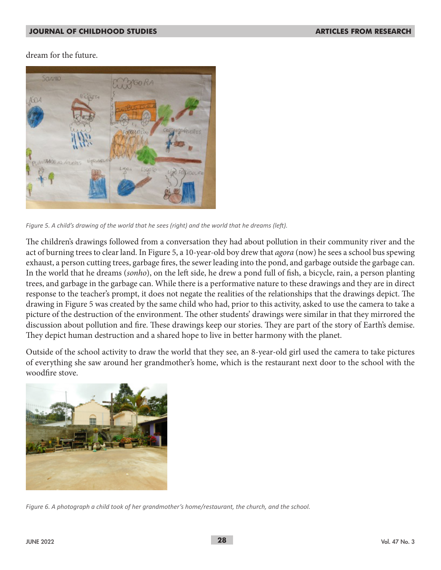dream for the future.



*Figure 5. A child's drawing of the world that he sees (right) and the world that he dreams (left).*

The children's drawings followed from a conversation they had about pollution in their community river and the act of burning trees to clear land. In Figure 5, a 10-year-old boy drew that *agora* (now) he sees a school bus spewing exhaust, a person cutting trees, garbage fires, the sewer leading into the pond, and garbage outside the garbage can. In the world that he dreams (*sonho*), on the left side, he drew a pond full of fish, a bicycle, rain, a person planting trees, and garbage in the garbage can. While there is a performative nature to these drawings and they are in direct response to the teacher's prompt, it does not negate the realities of the relationships that the drawings depict. The drawing in Figure 5 was created by the same child who had, prior to this activity, asked to use the camera to take a picture of the destruction of the environment. The other students' drawings were similar in that they mirrored the discussion about pollution and fire. These drawings keep our stories. They are part of the story of Earth's demise. They depict human destruction and a shared hope to live in better harmony with the planet.

Outside of the school activity to draw the world that they see, an 8-year-old girl used the camera to take pictures of everything she saw around her grandmother's home, which is the restaurant next door to the school with the woodfire stove.



*Figure 6. A photograph a child took of her grandmother's home/restaurant, the church, and the school.*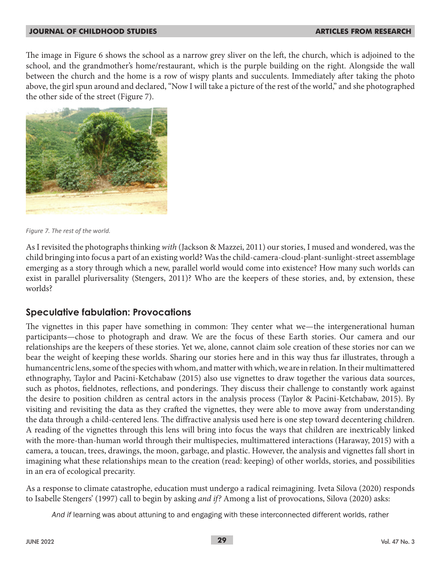The image in Figure 6 shows the school as a narrow grey sliver on the left, the church, which is adjoined to the school, and the grandmother's home/restaurant, which is the purple building on the right. Alongside the wall between the church and the home is a row of wispy plants and succulents. Immediately after taking the photo above, the girl spun around and declared, "Now I will take a picture of the rest of the world," and she photographed the other side of the street (Figure 7).



*Figure 7. The rest of the world.*

As I revisited the photographs thinking *with* (Jackson & Mazzei, 2011) our stories, I mused and wondered, was the child bringing into focus a part of an existing world? Was the child-camera-cloud-plant-sunlight-street assemblage emerging as a story through which a new, parallel world would come into existence? How many such worlds can exist in parallel pluriversality (Stengers, 2011)? Who are the keepers of these stories, and, by extension, these worlds?

## **Speculative fabulation: Provocations**

The vignettes in this paper have something in common: They center what we—the intergenerational human participants—chose to photograph and draw. We are the focus of these Earth stories. Our camera and our relationships are the keepers of these stories. Yet we, alone, cannot claim sole creation of these stories nor can we bear the weight of keeping these worlds. Sharing our stories here and in this way thus far illustrates, through a humancentric lens, some of the species with whom, and matter with which, we are in relation. In their multimattered ethnography, Taylor and Pacini-Ketchabaw (2015) also use vignettes to draw together the various data sources, such as photos, fieldnotes, reflections, and ponderings. They discuss their challenge to constantly work against the desire to position children as central actors in the analysis process (Taylor & Pacini-Ketchabaw, 2015). By visiting and revisiting the data as they crafted the vignettes, they were able to move away from understanding the data through a child-centered lens. The diffractive analysis used here is one step toward decentering children. A reading of the vignettes through this lens will bring into focus the ways that children are inextricably linked with the more-than-human world through their multispecies, multimattered interactions (Haraway, 2015) with a camera, a toucan, trees, drawings, the moon, garbage, and plastic. However, the analysis and vignettes fall short in imagining what these relationships mean to the creation (read: keeping) of other worlds, stories, and possibilities in an era of ecological precarity.

As a response to climate catastrophe, education must undergo a radical reimagining. Iveta Silova (2020) responds to Isabelle Stengers' (1997) call to begin by asking *and if?* Among a list of provocations, Silova (2020) asks:

*And if* learning was about attuning to and engaging with these interconnected different worlds, rather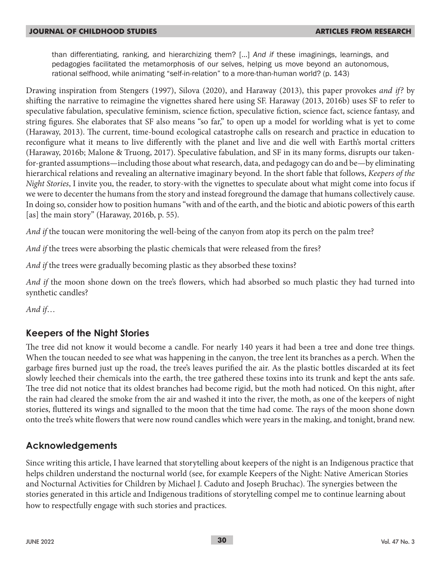than differentiating, ranking, and hierarchizing them? […] *And if* these imaginings, learnings, and pedagogies facilitated the metamorphosis of our selves, helping us move beyond an autonomous, rational selfhood, while animating "self-in-relation" to a more-than-human world? (p. 143)

Drawing inspiration from Stengers (1997), Silova (2020), and Haraway (2013), this paper provokes *and if?* by shifting the narrative to reimagine the vignettes shared here using SF. Haraway (2013, 2016b) uses SF to refer to speculative fabulation, speculative feminism, science fiction, speculative fiction, science fact, science fantasy, and string figures. She elaborates that SF also means "so far," to open up a model for worlding what is yet to come (Haraway, 2013). The current, time-bound ecological catastrophe calls on research and practice in education to reconfigure what it means to live differently with the planet and live and die well with Earth's mortal critters (Haraway, 2016b; Malone & Truong, 2017). Speculative fabulation, and SF in its many forms, disrupts our takenfor-granted assumptions—including those about what research, data, and pedagogy can do and be—by eliminating hierarchical relations and revealing an alternative imaginary beyond. In the short fable that follows, *Keepers of the Night Stories*, I invite you, the reader, to story-with the vignettes to speculate about what might come into focus if we were to decenter the humans from the story and instead foreground the damage that humans collectively cause. In doing so, consider how to position humans "with and of the earth, and the biotic and abiotic powers of this earth [as] the main story" (Haraway, 2016b, p. 55).

*And if* the toucan were monitoring the well-being of the canyon from atop its perch on the palm tree?

*And if* the trees were absorbing the plastic chemicals that were released from the fires?

And if the trees were gradually becoming plastic as they absorbed these toxins?

*And if* the moon shone down on the tree's flowers, which had absorbed so much plastic they had turned into synthetic candles?

*And if*…

## **Keepers of the Night Stories**

The tree did not know it would become a candle. For nearly 140 years it had been a tree and done tree things. When the toucan needed to see what was happening in the canyon, the tree lent its branches as a perch. When the garbage fires burned just up the road, the tree's leaves purified the air. As the plastic bottles discarded at its feet slowly leeched their chemicals into the earth, the tree gathered these toxins into its trunk and kept the ants safe. The tree did not notice that its oldest branches had become rigid, but the moth had noticed. On this night, after the rain had cleared the smoke from the air and washed it into the river, the moth, as one of the keepers of night stories, fluttered its wings and signalled to the moon that the time had come. The rays of the moon shone down onto the tree's white flowers that were now round candles which were years in the making, and tonight, brand new.

## **Acknowledgements**

Since writing this article, I have learned that storytelling about keepers of the night is an Indigenous practice that helps children understand the nocturnal world (see, for example Keepers of the Night: Native American Stories and Nocturnal Activities for Children by Michael J. Caduto and Joseph Bruchac). The synergies between the stories generated in this article and Indigenous traditions of storytelling compel me to continue learning about how to respectfully engage with such stories and practices.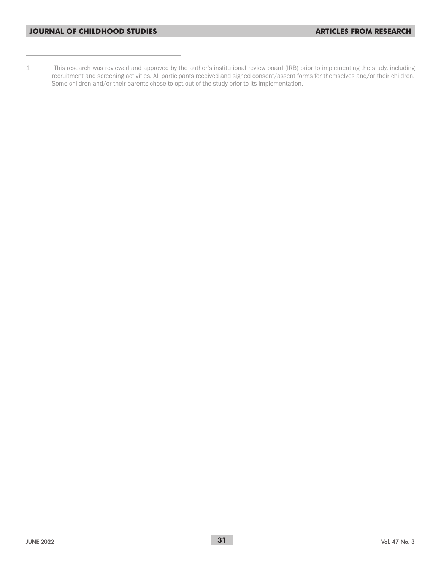1 This research was reviewed and approved by the author's institutional review board (IRB) prior to implementing the study, including recruitment and screening activities. All participants received and signed consent/assent forms for themselves and/or their children. Some children and/or their parents chose to opt out of the study prior to its implementation.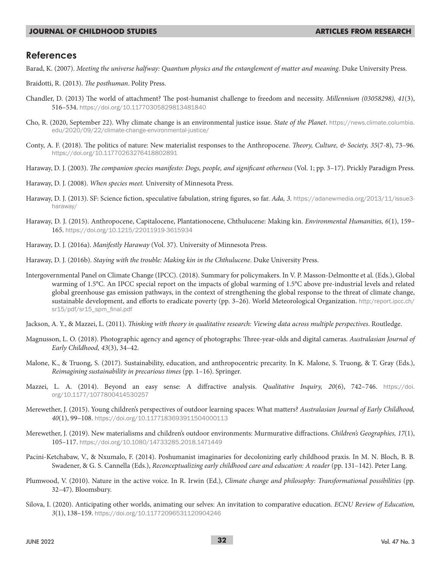### **References**

Barad, K. (2007). *Meeting the universe halfway: Quantum physics and the entanglement of matter and meaning*. Duke University Press.

- Braidotti, R. (2013). *The posthuman*. Polity Press.
- Chandler, D. (2013) The world of attachment? The post-humanist challenge to freedom and necessity. *Millennium (03058298), 41*(3), 516–534. https://doi.org/10.11770305829813481840
- Cho, R. (2020, September 22). Why climate change is an environmental justice issue. *State of the Planet*. https://news.climate.columbia. edu/2020/09/22/climate-change-environmental-justice/
- Conty, A. F. (2018). The politics of nature: New materialist responses to the Anthropocene. *Theory, Culture, & Society, 35*(7-8), 73–96. https://doi.org/10.11770263276418802891
- Haraway, D. J. (2003). *The companion species manifesto: Dogs, people, and significant otherness* (Vol. 1; pp. 3–17). Prickly Paradigm Press.
- Haraway, D. J. (2008). *When species meet.* University of Minnesota Press.
- Haraway, D. J. (2013). SF: Science fiction, speculative fabulation, string figures, so far. *Ada, 3*. https://adanewmedia.org/2013/11/issue3 haraway/
- Haraway, D. J. (2015). Anthropocene, Capitalocene, Plantationocene, Chthulucene: Making kin. *Environmental Humanities, 6*(1), 159– 165. https://doi.org/10.1215/22011919-3615934
- Haraway, D. J. (2016a). *Manifestly Haraway* (Vol. 37). University of Minnesota Press.
- Haraway, D. J. (2016b). *Staying with the trouble: Making kin in the Chthulucene*. Duke University Press.
- Intergovernmental Panel on Climate Change (IPCC). (2018). Summary for policymakers. In V. P. Masson-Delmontte et al. (Eds.), Global warming of 1.5°C. An IPCC special report on the impacts of global warming of 1.5°C above pre-industrial levels and related global greenhouse gas emission pathways, in the context of strengthening the global response to the threat of climate change, sustainable development, and efforts to eradicate poverty (pp. 3–26). World Meteorological Organization. http:/report.ipcc.ch/ sr15/pdf/sr15\_spm\_final.pdf
- Jackson, A. Y., & Mazzei, L. (2011). *Thinking with theory in qualitative research: Viewing data across multiple perspectives*. Routledge.
- Magnusson, L. O. (2018). Photographic agency and agency of photographs: Three-year-olds and digital cameras. *Australasian Journal of Early Childhood, 43*(3), 34–42.
- Malone, K., & Truong, S. (2017). Sustainability, education, and anthropocentric precarity. In K. Malone, S. Truong, & T. Gray (Eds.), *Reimagining sustainability in precarious times* (pp. 1–16). Springer.
- Mazzei, L. A. (2014). Beyond an easy sense: A diffractive analysis. *Qualitative Inquiry, 20*(6), 742–746. https://doi. org/10.1177/1077800414530257
- Merewether, J. (2015). Young children's perspectives of outdoor learning spaces: What matters? *Australasian Journal of Early Childhood, 40*(1), 99–108. https://doi.org/10.1177183693911504000113
- Merewether, J. (2019). New materialisms and children's outdoor environments: Murmurative diffractions. *Children's Geographies, 17*(1), 105–117. https://doi.org/10.1080/14733285.2018.1471449
- Pacini-Ketchabaw, V., & Nxumalo, F. (2014). Poshumanist imaginaries for decolonizing early childhood praxis. In M. N. Bloch, B. B. Swadener, & G. S. Cannella (Eds.), *Reconceptualizing early childhood care and education: A reader* (pp. 131–142). Peter Lang.
- Plumwood, V. (2010). Nature in the active voice. In R. Irwin (Ed.), *Climate change and philosophy: Transformational possibilities* (pp. 32–47). Bloomsbury.
- Silova, I. (2020). Anticipating other worlds, animating our selves: An invitation to comparative education. *ECNU Review of Education, 3*(1), 138–159. https://doi.org/10.11772096531120904246